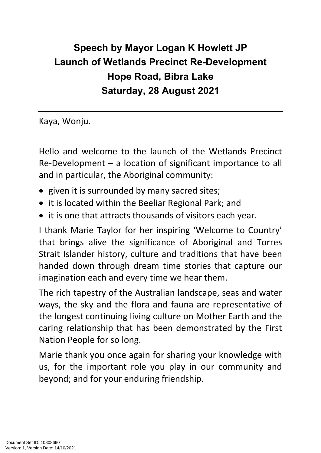## **Speech by Mayor Logan K Howlett JP Launch of Wetlands Precinct Re-Development Hope Road, Bibra Lake Saturday, 28 August 2021**

Kaya, Wonju.

Hello and welcome to the launch of the Wetlands Precinct Re-Development – a location of significant importance to all and in particular, the Aboriginal community:

- given it is surrounded by many sacred sites;
- it is located within the Beeliar Regional Park; and
- it is one that attracts thousands of visitors each year.

I thank Marie Taylor for her inspiring 'Welcome to Country' that brings alive the significance of Aboriginal and Torres Strait Islander history, culture and traditions that have been handed down through dream time stories that capture our imagination each and every time we hear them.

The rich tapestry of the Australian landscape, seas and water ways, the sky and the flora and fauna are representative of the longest continuing living culture on Mother Earth and the caring relationship that has been demonstrated by the First Nation People for so long.

Marie thank you once again for sharing your knowledge with us, for the important role you play in our community and beyond; and for your enduring friendship.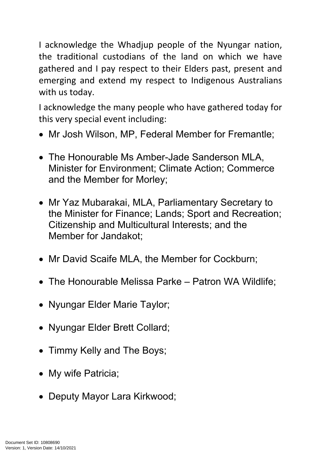I acknowledge the Whadjup people of the Nyungar nation, the traditional custodians of the land on which we have gathered and I pay respect to their Elders past, present and emerging and extend my respect to Indigenous Australians with us today.

I acknowledge the many people who have gathered today for this very special event including:

- Mr Josh Wilson, MP, Federal Member for Fremantle;
- The Honourable Ms Amber-Jade Sanderson MLA, Minister for Environment; Climate Action; Commerce and the Member for Morley;
- Mr Yaz Mubarakai, MLA, Parliamentary Secretary to the Minister for Finance; Lands; Sport and Recreation; Citizenship and Multicultural Interests; and the Member for Jandakot;
- Mr David Scaife MLA, the Member for Cockburn;
- The Honourable Melissa Parke Patron WA Wildlife;
- Nyungar Elder Marie Taylor;
- Nyungar Elder Brett Collard;
- Timmy Kelly and The Boys;
- My wife Patricia;
- Deputy Mayor Lara Kirkwood;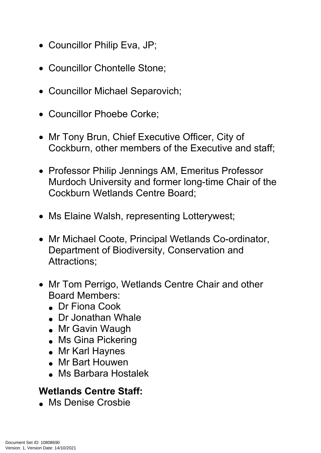- Councillor Philip Eva, JP;
- Councillor Chontelle Stone:
- Councillor Michael Separovich;
- Councillor Phoebe Corke:
- Mr Tony Brun, Chief Executive Officer, City of Cockburn, other members of the Executive and staff;
- Professor Philip Jennings AM, Emeritus Professor Murdoch University and former long-time Chair of the Cockburn Wetlands Centre Board;
- Ms Elaine Walsh, representing Lotterywest;
- Mr Michael Coote, Principal Wetlands Co-ordinator, Department of Biodiversity, Conservation and Attractions;
- Mr Tom Perrigo, Wetlands Centre Chair and other Board Members:
	- Dr Fiona Cook
	- Dr Jonathan Whale
	- Mr Gavin Waugh
	- Ms Gina Pickering
	- Mr Karl Haynes
	- Mr Bart Houwen
	- Ms Barbara Hostalek

## **Wetlands Centre Staff:**

Ms Denise Crosbie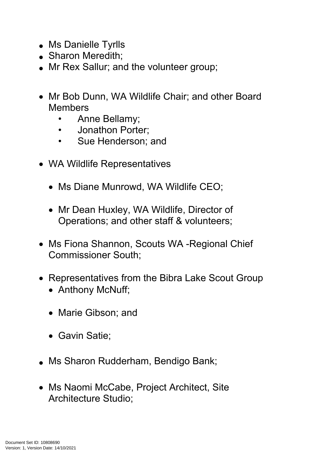- Ms Danielle Tyrlls
- Sharon Meredith;
- Mr Rex Sallur; and the volunteer group;
- Mr Bob Dunn, WA Wildlife Chair; and other Board Members
	- Anne Bellamy;
	- Jonathon Porter;
	- Sue Henderson; and
- WA Wildlife Representatives
	- Ms Diane Munrowd, WA Wildlife CEO;
	- Mr Dean Huxley, WA Wildlife, Director of Operations; and other staff & volunteers;
- Ms Fiona Shannon, Scouts WA -Regional Chief Commissioner South;
- Representatives from the Bibra Lake Scout Group
	- Anthony McNuff;
	- Marie Gibson; and
	- Gavin Satie:
- Ms Sharon Rudderham, Bendigo Bank;
- Ms Naomi McCabe, Project Architect, Site Architecture Studio;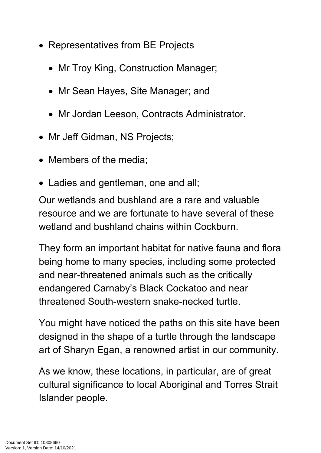- Representatives from BE Projects
	- Mr Troy King, Construction Manager;
	- Mr Sean Hayes, Site Manager; and
	- Mr Jordan Leeson, Contracts Administrator.
- Mr Jeff Gidman, NS Projects;
- Members of the media;
- Ladies and gentleman, one and all;

Our wetlands and bushland are a rare and valuable resource and we are fortunate to have several of these wetland and bushland chains within Cockburn.

They form an important habitat for native fauna and flora being home to many species, including some protected and near-threatened animals such as the critically endangered Carnaby's Black Cockatoo and near threatened South-western snake-necked turtle.

You might have noticed the paths on this site have been designed in the shape of a turtle through the landscape art of Sharyn Egan, a renowned artist in our community.

As we know, these locations, in particular, are of great cultural significance to local Aboriginal and Torres Strait Islander people.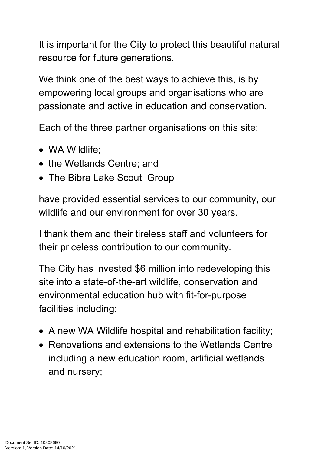It is important for the City to protect this beautiful natural resource for future generations.

We think one of the best ways to achieve this, is by empowering local groups and organisations who are passionate and active in education and conservation.

Each of the three partner organisations on this site;

- WA Wildlife;
- the Wetlands Centre; and
- The Bibra Lake Scout Group

have provided essential services to our community, our wildlife and our environment for over 30 years.

I thank them and their tireless staff and volunteers for their priceless contribution to our community.

The City has invested \$6 million into redeveloping this site into a state-of-the-art wildlife, conservation and environmental education hub with fit-for-purpose facilities including:

- A new WA Wildlife hospital and rehabilitation facility;
- Renovations and extensions to the Wetlands Centre including a new education room, artificial wetlands and nursery;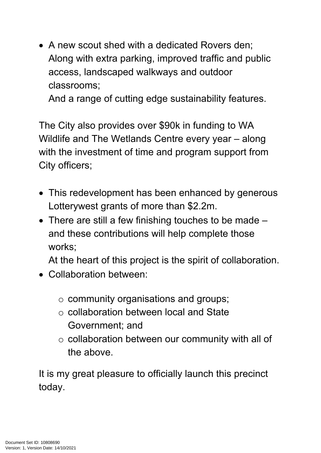• A new scout shed with a dedicated Rovers den: Along with extra parking, improved traffic and public access, landscaped walkways and outdoor classrooms;

And a range of cutting edge sustainability features.

The City also provides over \$90k in funding to WA Wildlife and The Wetlands Centre every year – along with the investment of time and program support from City officers;

- This redevelopment has been enhanced by generous Lotterywest grants of more than \$2.2m.
- There are still a few finishing touches to be made and these contributions will help complete those works;

At the heart of this project is the spirit of collaboration.

- Collaboration between:
	- o community organisations and groups;
	- o collaboration between local and State Government; and
	- o collaboration between our community with all of the above.

It is my great pleasure to officially launch this precinct today.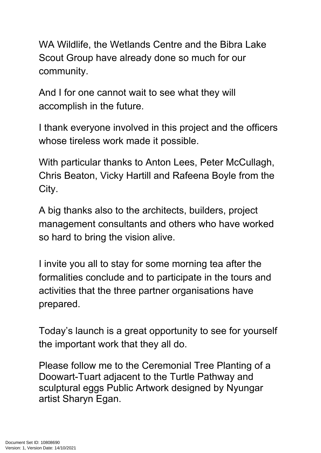WA Wildlife, the Wetlands Centre and the Bibra Lake Scout Group have already done so much for our community.

And I for one cannot wait to see what they will accomplish in the future.

I thank everyone involved in this project and the officers whose tireless work made it possible.

With particular thanks to Anton Lees, Peter McCullagh, Chris Beaton, Vicky Hartill and Rafeena Boyle from the City.

A big thanks also to the architects, builders, project management consultants and others who have worked so hard to bring the vision alive.

I invite you all to stay for some morning tea after the formalities conclude and to participate in the tours and activities that the three partner organisations have prepared.

Today's launch is a great opportunity to see for yourself the important work that they all do.

Please follow me to the Ceremonial Tree Planting of a Doowart-Tuart adjacent to the Turtle Pathway and sculptural eggs Public Artwork designed by Nyungar artist Sharyn Egan.